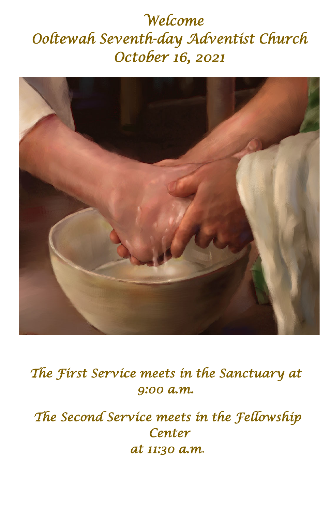# *Welcome Ooltewah Seventh-day Adventist Church October 16, 2021*



*The First Service meets in the Sanctuary at 9:00 a.m.* 

*The Second Service meets in the Fellowship Center at 11:30 a.m.*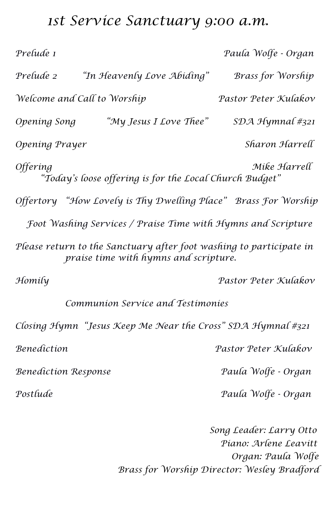## *1st Service Sanctuary 9:00 a.m.*

| Prelude 1                                                                                                    |                            | Paula Wolfe - Organ      |  |  |
|--------------------------------------------------------------------------------------------------------------|----------------------------|--------------------------|--|--|
| Prelude 2                                                                                                    | "In Heavenly Love Abiding" | <b>Brass for Worship</b> |  |  |
| Welcome and Call to Worship                                                                                  |                            | Pastor Peter Kulakov     |  |  |
| Opening Song                                                                                                 | "My Jesus I Love Thee"     | $SDA$ Hymnal #321        |  |  |
| Opening Prayer                                                                                               |                            | Sharon Harrell           |  |  |
| Mike Harrell<br><i><b>Offering</b></i><br>"Today's loose offering is for the Local Church Budget"            |                            |                          |  |  |
| Offertory "How Lovely is Thy Dwelling Place" Brass For Worship                                               |                            |                          |  |  |
| Foot Washing Services / Praise Time with Hymns and Scripture                                                 |                            |                          |  |  |
| Please return to the Sanctuary after foot washing to participate in<br>praise time with hymns and scripture. |                            |                          |  |  |
| Homily                                                                                                       |                            | Pastor Peter Kulakov     |  |  |
| Communion Service and Testimonies                                                                            |                            |                          |  |  |
| Closing Hymn "Jesus Keep Me Near the Cross" SDA Hymnal #321                                                  |                            |                          |  |  |
| <b>Benediction</b>                                                                                           |                            | Pastor Peter Kulakov     |  |  |
| <b>Benediction Response</b>                                                                                  |                            | Paula Wolfe - Organ      |  |  |
| Postlude                                                                                                     |                            | Paula Wolfe - Organ      |  |  |
|                                                                                                              |                            |                          |  |  |

 *Song Leader: Larry Otto Piano: Arlene Leavitt Organ: Paula Wolfe Brass for Worship Director: Wesley Bradford*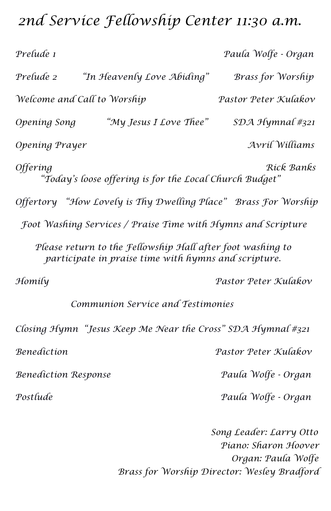# *2nd Service Fellowship Center 11:30 a.m.*

| Prelude 1                                                                                                          |                                   | Paula Wolfe - Organ      |  |  |
|--------------------------------------------------------------------------------------------------------------------|-----------------------------------|--------------------------|--|--|
| Prelude 2                                                                                                          | "In Heavenly Love Abiding"        | <b>Brass for Worship</b> |  |  |
|                                                                                                                    | Welcome and Call to Worship       | Pastor Peter Kulakov     |  |  |
| Opening Song                                                                                                       | "My Jesus I Love Thee"            | $SDA$ Hymnal #321        |  |  |
| Opening Prayer                                                                                                     |                                   | Avril Williams           |  |  |
| Ríck Banks<br><i><b>Offering</b></i><br>"Today's loose offering is for the Local Church Budget"                    |                                   |                          |  |  |
| Offertory "How Lovely is Thy Dwelling Place" Brass For Worship                                                     |                                   |                          |  |  |
| Foot Washing Services / Praise Time with Hymns and Scripture                                                       |                                   |                          |  |  |
| Please return to the Fellowship Hall after foot washing to<br>participate in praise time with hymns and scripture. |                                   |                          |  |  |
| Homily                                                                                                             |                                   | Pastor Peter Kulakov     |  |  |
|                                                                                                                    | Communion Service and Testimonies |                          |  |  |
| Closing Hymn "Jesus Keep Me Near the Cross" SDA Hymnal #321                                                        |                                   |                          |  |  |
| Benediction                                                                                                        |                                   | Pastor Peter Kulakov     |  |  |
| <b>Benediction Response</b>                                                                                        |                                   | Paula Wolfe - Organ      |  |  |
| Postlude                                                                                                           |                                   | Paula Wolfe - Organ      |  |  |
|                                                                                                                    |                                   | Song Leader: Larry Otto  |  |  |

 *Piano: Sharon Hoover Organ: Paula Wolfe Brass for Worship Director: Wesley Bradford*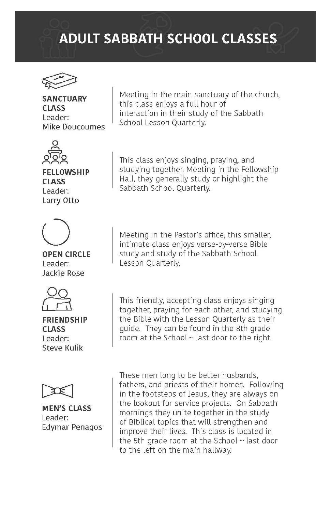## **ADULT SABBATH SCHOOL CLASSES**



**SANCTUARY CLASS** Leader: Mike Doucoumes



**FELLOWSHIP CLASS** Leader: Larry Otto



**OPEN CIRCLE** Leader: Jackie Rose



**FRIENDSHIP CLASS** Leader: Steve Kulik



**MEN'S CLASS** Leader: **Edymar Penagos** 

Meeting in the main sanctuary of the church, this class enjoys a full hour of interaction in their study of the Sabbath School Lesson Quarterly.

This class enjoys singing, praying, and studying together. Meeting in the Fellowship Hall, they generally study or highlight the Sabbath School Quarterly.

Meeting in the Pastor's office, this smaller, intimate class enjoys verse-by-verse Bible study and study of the Sabbath School Lesson Quarterly.

This friendly, accepting class enjoys singing together, praying for each other, and studying the Bible with the Lesson Quarterly as their quide. They can be found in the 8th grade room at the School ~ last door to the right.

These men long to be better husbands, fathers, and priests of their homes. Following in the footsteps of Jesus, they are always on the lookout for service projects. On Sabbath mornings they unite together in the study of Biblical topics that will strengthen and improve their lives. This class is located in the 5th grade room at the School ~ last door to the left on the main hallway.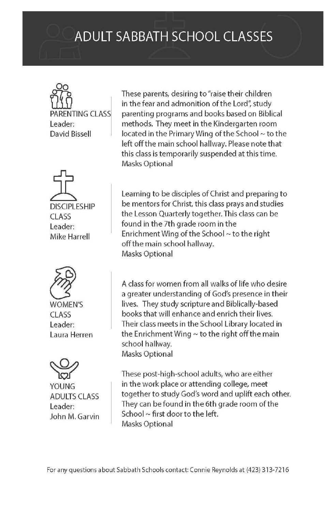## **ADULT SABBATH SCHOOL CLASSES**

**RENTING CLASS** Leader: David Bissell







**ADULTS CLASS** Leader: John M. Garvin

These parents, desiring to "raise their children in the fear and admonition of the Lord", study parenting programs and books based on Biblical methods. They meet in the Kindergarten room located in the Primary Wing of the School ~ to the left off the main school hallway. Please note that this class is temporarily suspended at this time. Masks Optional

Learning to be disciples of Christ and preparing to be mentors for Christ, this class prays and studies the Lesson Quarterly together. This class can be found in the 7th grade room in the Enrichment Wing of the School ~ to the right off the main school hallway. **Masks Optional** 

A class for women from all walks of life who desire a greater understanding of God's presence in their lives. They study scripture and Biblically-based books that will enhance and enrich their lives. Their class meets in the School Library located in the Enrichment Wing  $\sim$  to the right off the main school hallway. Masks Optional

These post-high-school adults, who are either in the work place or attending college, meet together to study God's word and uplift each other. They can be found in the 6th grade room of the School ~ first door to the left. Masks Optional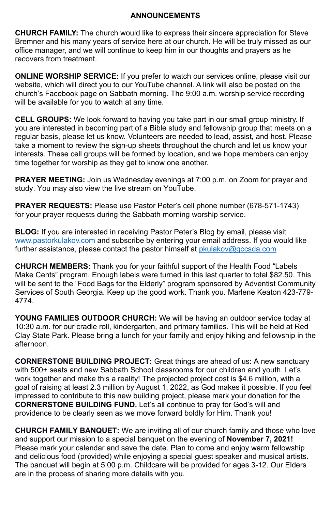#### **ANNOUNCEMENTS**

**CHURCH FAMILY:** The church would like to express their sincere appreciation for Steve Bremner and his many years of service here at our church. He will be truly missed as our office manager, and we will continue to keep him in our thoughts and prayers as he recovers from treatment.

**ONLINE WORSHIP SERVICE:** If you prefer to watch our services online, please visit our website, which will direct you to our YouTube channel. A link will also be posted on the church's Facebook page on Sabbath morning. The 9:00 a.m. worship service recording will be available for you to watch at any time.

**CELL GROUPS:** We look forward to having you take part in our small group ministry. If you are interested in becoming part of a Bible study and fellowship group that meets on a regular basis, please let us know. Volunteers are needed to lead, assist, and host. Please take a moment to review the sign-up sheets throughout the church and let us know your interests. These cell groups will be formed by location, and we hope members can enjoy time together for worship as they get to know one another.

**PRAYER MEETING:** Join us Wednesday evenings at 7:00 p.m. on Zoom for prayer and study. You may also view the live stream on YouTube.

**PRAYER REQUESTS:** Please use Pastor Peter's cell phone number (678-571-1743) for your prayer requests during the Sabbath morning worship service.

**BLOG:** If you are interested in receiving Pastor Peter's Blog by email, please visit [www.pastorkulakov.com](http://www.pastorkulakov.com/) and subscribe by entering your email address. If you would like further assistance, please contact the pastor himself at [pkulakov@gccsda.com](mailto:pkulakov@gccsda.com)

**CHURCH MEMBERS:** Thank you for your faithful support of the Health Food "Labels Make Cents" program. Enough labels were turned in this last quarter to total \$82.50. This will be sent to the "Food Bags for the Elderly" program sponsored by Adventist Community Services of South Georgia. Keep up the good work. Thank you. Marlene Keaton 423-779- 4774.

**YOUNG FAMILIES OUTDOOR CHURCH:** We will be having an outdoor service today at 10:30 a.m. for our cradle roll, kindergarten, and primary families. This will be held at Red Clay State Park. Please bring a lunch for your family and enjoy hiking and fellowship in the afternoon.

**CORNERSTONE BUILDING PROJECT:** Great things are ahead of us: A new sanctuary with 500+ seats and new Sabbath School classrooms for our children and youth. Let's work together and make this a reality! The projected project cost is \$4.6 million, with a goal of raising at least 2.3 million by August 1, 2022, as God makes it possible. If you feel impressed to contribute to this new building project, please mark your donation for the **CORNERSTONE BUILDING FUND.** Let's all continue to pray for God's will and providence to be clearly seen as we move forward boldly for Him. Thank you!

**CHURCH FAMILY BANQUET:** We are inviting all of our church family and those who love and support our mission to a special banquet on the evening of **November 7, 2021!**  Please mark your calendar and save the date. Plan to come and enjoy warm fellowship and delicious food (provided) while enjoying a special guest speaker and musical artists. The banquet will begin at 5:00 p.m. Childcare will be provided for ages 3-12. Our Elders are in the process of sharing more details with you.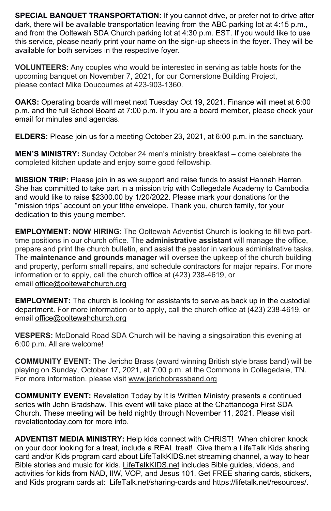**SPECIAL BANQUET TRANSPORTATION:** If you cannot drive, or prefer not to drive after dark, there will be available transportation leaving from the ABC parking lot at 4:15 p.m., and from the Ooltewah SDA Church parking lot at 4:30 p.m. EST. If you would like to use this service, please nearly print your name on the sign-up sheets in the foyer. They will be available for both services in the respective foyer.

**VOLUNTEERS:** Any couples who would be interested in serving as table hosts for the upcoming banquet on November 7, 2021, for our Cornerstone Building Project, please contact Mike Doucoumes at 423-903-1360.

**OAKS:** Operating boards will meet next Tuesday Oct 19, 2021. Finance will meet at 6:00 p.m. and the full School Board at 7:00 p.m. If you are a board member, please check your email for minutes and agendas.

**ELDERS:** Please join us for a meeting October 23, 2021, at 6:00 p.m. in the sanctuary.

**MEN'S MINISTRY:** Sunday October 24 men's ministry breakfast – come celebrate the completed kitchen update and enjoy some good fellowship.

**MISSION TRIP:** Please join in as we support and raise funds to assist Hannah Herren. She has committed to take part in a mission trip with Collegedale Academy to Cambodia and would like to raise \$2300.00 by 1/20/2022. Please mark your donations for the "mission trips" account on your tithe envelope. Thank you, church family, for your dedication to this young member.

**EMPLOYMENT: NOW HIRING**: The Ooltewah Adventist Church is looking to fill two parttime positions in our church office. The **administrative assistant** will manage the office, prepare and print the church bulletin, and assist the pastor in various administrative tasks. The **maintenance and grounds manager** will oversee the upkeep of the church building and property, perform small repairs, and schedule contractors for major repairs. For more information or to apply, call the church office at (423) 238-4619, or email [office@ooltewahchurch.org](mailto:office@ooltewahchurch.org)

**EMPLOYMENT:** The church is looking for assistants to serve as back up in the custodial department. For more information or to apply, call the church office at (423) 238-4619, or email [office@ooltewahchurch.org](mailto:office@ooltewahchurch.org)

**VESPERS:** McDonald Road SDA Church will be having a singspiration this evening at 6:00 p.m. All are welcome!

**COMMUNITY EVENT:** The Jericho Brass (award winning British style brass band) will be playing on Sunday, October 17, 2021, at 7:00 p.m. at the Commons in Collegedale, TN. For more information, please visit www.jerichobrassband.org

**COMMUNITY EVENT:** Revelation Today by It is Written Ministry presents a continued series with John Bradshaw. This event will take place at the Chattanooga First SDA Church. These meeting will be held nightly through November 11, 2021. Please visit revelationtoday.com for more info.

**ADVENTIST MEDIA MINISTRY:** Help kids connect with CHRIST! When children knock on your door looking for a treat, include a REAL treat! Give them a LifeTalk Kids sharing card and/or Kids program card about [LifeTalkKIDS.net](http://lifetalkkids.net/) streaming channel, a way to hear Bible stories and music for kids. [LifeTalkKIDS.net](http://lifetalkkids.net/) includes Bible guides, videos, and activities for kids from NAD, IIW, VOP, and Jesus 101. Get FREE sharing cards, stickers, and Kids program cards at: [LifeTalk.net/sharing-cards](http://lifetalk.net/sharing-cards) and [https://lifetalk.net/resources/.](https://lifetalk.net/resources/)